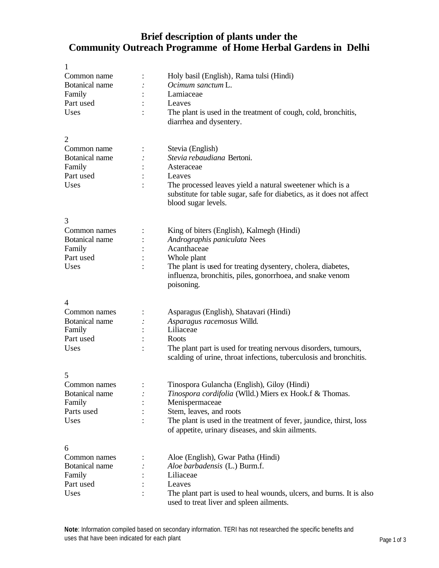## **Brief description of plants under the Community Outreach Programme of Home Herbal Gardens in Delhi**

| 1                     |                                                                       |
|-----------------------|-----------------------------------------------------------------------|
| Common name           | Holy basil (English), Rama tulsi (Hindi)                              |
| <b>Botanical name</b> | Ocimum sanctum L.                                                     |
| Family                | Lamiaceae                                                             |
| Part used             | Leaves                                                                |
| Uses                  | The plant is used in the treatment of cough, cold, bronchitis,        |
|                       | diarrhea and dysentery.                                               |
|                       |                                                                       |
| $\overline{2}$        |                                                                       |
| Common name           | Stevia (English)                                                      |
| Botanical name        | Stevia rebaudiana Bertoni.                                            |
|                       |                                                                       |
| Family                | Asteraceae                                                            |
| Part used             | Leaves                                                                |
| Uses                  | The processed leaves yield a natural sweetener which is a             |
|                       | substitute for table sugar, safe for diabetics, as it does not affect |
|                       | blood sugar levels.                                                   |
|                       |                                                                       |
| 3                     |                                                                       |
| Common names          | King of biters (English), Kalmegh (Hindi)                             |
| Botanical name        | Andrographis paniculata Nees                                          |
| Family                | Acanthaceae                                                           |
| Part used             | Whole plant                                                           |
| Uses                  | The plant is used for treating dysentery, cholera, diabetes,          |
|                       | influenza, bronchitis, piles, gonorrhoea, and snake venom             |
|                       | poisoning.                                                            |
|                       |                                                                       |
| 4                     |                                                                       |
| Common names          | Asparagus (English), Shatavari (Hindi)                                |
| Botanical name        | Asparagus racemosus Willd.                                            |
| Family                | Liliaceae                                                             |
| Part used             | Roots                                                                 |
| Uses                  | The plant part is used for treating nervous disorders, tumours,       |
|                       | scalding of urine, throat infections, tuberculosis and bronchitis.    |
|                       |                                                                       |
| 5                     |                                                                       |
| Common names          | Tinospora Gulancha (English), Giloy (Hindi)                           |
| Botanical name        | Tinospora cordifolia (Wlld.) Miers ex Hook.f & Thomas.                |
| Family                | Menispermaceae                                                        |
| Parts used            | Stem, leaves, and roots                                               |
|                       |                                                                       |
| Uses                  | The plant is used in the treatment of fever, jaundice, thirst, loss   |
|                       | of appetite, urinary diseases, and skin ailments.                     |
|                       |                                                                       |
| 6                     |                                                                       |
| Common names          | Aloe (English), Gwar Patha (Hindi)                                    |
| <b>Botanical name</b> | Aloe barbadensis (L.) Burm.f.                                         |
| Family                | Liliaceae                                                             |
| Part used             | Leaves                                                                |
| Uses                  | The plant part is used to heal wounds, ulcers, and burns. It is also  |
|                       | used to treat liver and spleen ailments.                              |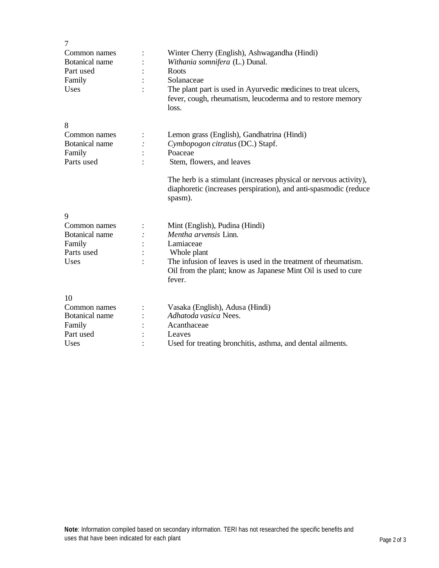| $\overline{7}$        |                                                                                                                                                  |
|-----------------------|--------------------------------------------------------------------------------------------------------------------------------------------------|
| Common names          | Winter Cherry (English), Ashwagandha (Hindi)                                                                                                     |
| <b>Botanical</b> name | Withania somnifera (L.) Dunal.                                                                                                                   |
| Part used             | Roots                                                                                                                                            |
| Family                | Solanaceae                                                                                                                                       |
| Uses                  | The plant part is used in Ayurvedic medicines to treat ulcers,<br>fever, cough, rheumatism, leucoderma and to restore memory<br>loss.            |
| 8                     |                                                                                                                                                  |
| Common names          | Lemon grass (English), Gandhatrina (Hindi)                                                                                                       |
| Botanical name        | Cymbopogon citratus (DC.) Stapf.                                                                                                                 |
| Family                | Poaceae                                                                                                                                          |
| Parts used            | Stem, flowers, and leaves                                                                                                                        |
|                       | The herb is a stimulant (increases physical or nervous activity),<br>diaphoretic (increases perspiration), and anti-spasmodic (reduce<br>spasm). |
| 9                     |                                                                                                                                                  |
| Common names          | Mint (English), Pudina (Hindi)                                                                                                                   |
| <b>Botanical</b> name | Mentha arvensis Linn.                                                                                                                            |
| Family                | Lamiaceae                                                                                                                                        |
| Parts used            | Whole plant                                                                                                                                      |
| Uses                  | The infusion of leaves is used in the treatment of rheumatism.<br>Oil from the plant; know as Japanese Mint Oil is used to cure<br>fever.        |
| 10                    |                                                                                                                                                  |
| Common names          | Vasaka (English), Adusa (Hindi)                                                                                                                  |
| Botanical name        | Adhatoda vasica Nees.                                                                                                                            |
| Family                | Acanthaceae                                                                                                                                      |
| Part used             | Leaves                                                                                                                                           |
| Uses                  | Used for treating bronchitis, asthma, and dental ailments.                                                                                       |